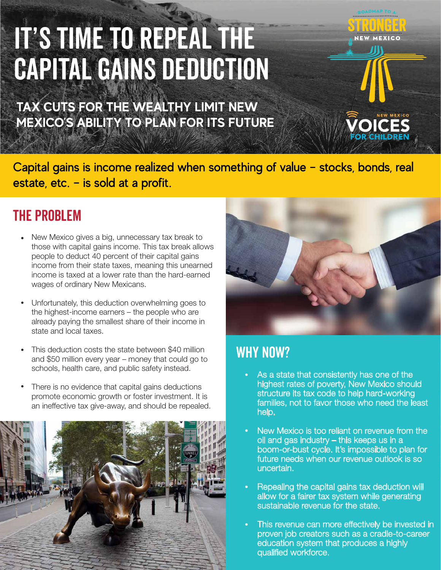# IT'S TIME TO REPEAL THE CAPITAL GAINS DEDUCTION

**TAX CUTS FOR THE WEALTHY LIMIT NEW MEXICO'S ABILITY TO PLAN FOR ITS FUTURE** 

Capital gains is income realized when something of value – stocks, bonds, real estate, etc. – is sold at a profit.

#### THE PROBLEM

- New Mexico gives a big, unnecessary tax break to those with capital gains income. This tax break allows people to deduct 40 percent of their capital gains income from their state taxes, meaning this unearned income is taxed at a lower rate than the hard-earned wages of ordinary New Mexicans. •
- Unfortunately, this deduction overwhelming goes to the highest-income earners – the people who are already paying the smallest share of their income in state and local taxes. •
- This deduction costs the state between \$40 million and \$50 million every year – money that could go to schools, health care, and public safety instead. •
- There is no evidence that capital gains deductions promote economic growth or foster investment. It is an ineffective tax give-away, and should be repealed. •





**JEW MEXICO** 

#### WHY NOW?

- As a state that consistently has one of the highest rates of poverty, New Mexico should structure its tax code to help hard-working families, not to favor those who need the least help.
- New Mexico is too reliant on revenue from the oil and gas industry – this keeps us in a boom-or-bust cycle. It's impossible to plan for future needs when our revenue outlook is so uncertain.
- Repealing the capital gains tax deduction will allow for a fairer tax system while generating sustainable revenue for the state.
- This revenue can more effectively be invested in proven job creators such as a cradle-to-career education system that produces a highly qualified workforce.